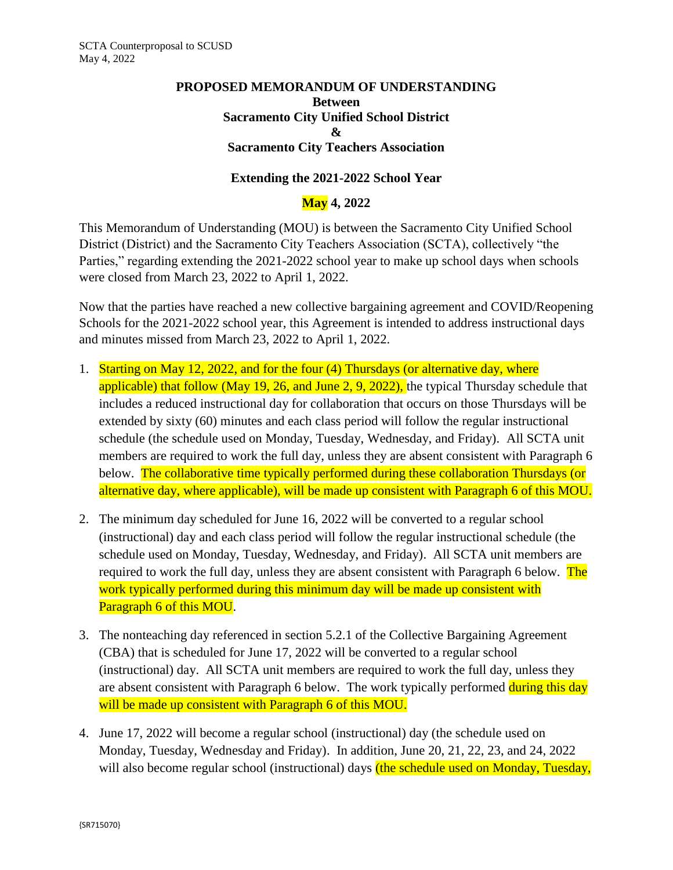## **PROPOSED MEMORANDUM OF UNDERSTANDING Between Sacramento City Unified School District & Sacramento City Teachers Association**

## **Extending the 2021-2022 School Year**

## **May 4, 2022**

This Memorandum of Understanding (MOU) is between the Sacramento City Unified School District (District) and the Sacramento City Teachers Association (SCTA), collectively "the Parties," regarding extending the 2021-2022 school year to make up school days when schools were closed from March 23, 2022 to April 1, 2022.

Now that the parties have reached a new collective bargaining agreement and COVID/Reopening Schools for the 2021-2022 school year, this Agreement is intended to address instructional days and minutes missed from March 23, 2022 to April 1, 2022.

- 1. Starting on May 12, 2022, and for the four (4) Thursdays (or alternative day, where applicable) that follow (May 19, 26, and June 2, 9, 2022), the typical Thursday schedule that includes a reduced instructional day for collaboration that occurs on those Thursdays will be extended by sixty (60) minutes and each class period will follow the regular instructional schedule (the schedule used on Monday, Tuesday, Wednesday, and Friday). All SCTA unit members are required to work the full day, unless they are absent consistent with Paragraph 6 below. The collaborative time typically performed during these collaboration Thursdays (or alternative day, where applicable), will be made up consistent with Paragraph 6 of this MOU.
- 2. The minimum day scheduled for June 16, 2022 will be converted to a regular school (instructional) day and each class period will follow the regular instructional schedule (the schedule used on Monday, Tuesday, Wednesday, and Friday). All SCTA unit members are required to work the full day, unless they are absent consistent with Paragraph 6 below. The work typically performed during this minimum day will be made up consistent with Paragraph 6 of this MOU.
- 3. The nonteaching day referenced in section 5.2.1 of the Collective Bargaining Agreement (CBA) that is scheduled for June 17, 2022 will be converted to a regular school (instructional) day. All SCTA unit members are required to work the full day, unless they are absent consistent with Paragraph 6 below. The work typically performed during this day will be made up consistent with Paragraph 6 of this MOU.
- 4. June 17, 2022 will become a regular school (instructional) day (the schedule used on Monday, Tuesday, Wednesday and Friday). In addition, June 20, 21, 22, 23, and 24, 2022 will also become regular school (instructional) days (the schedule used on Monday, Tuesday,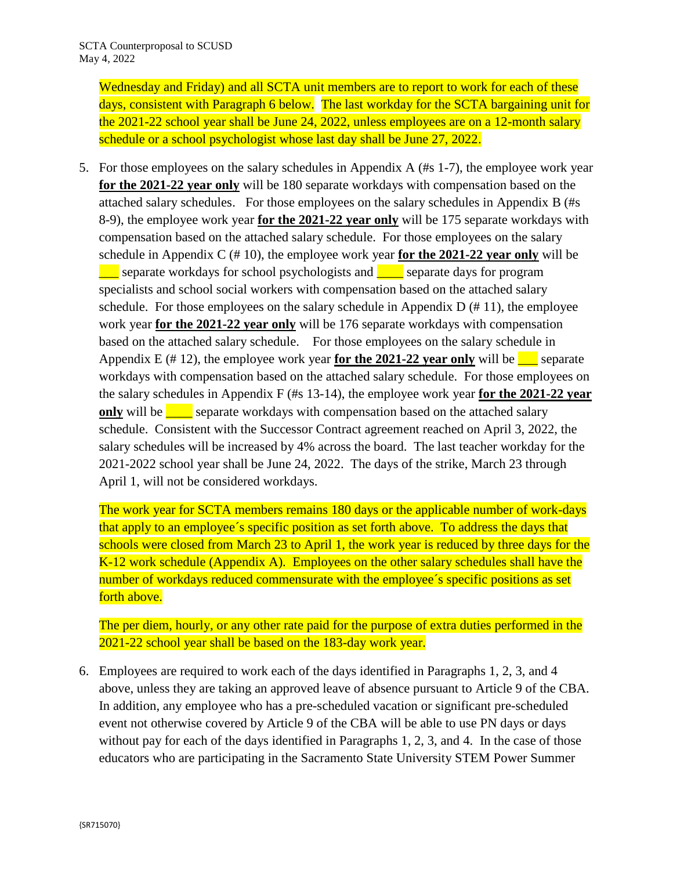Wednesday and Friday) and all SCTA unit members are to report to work for each of these days, consistent with Paragraph 6 below. The last workday for the SCTA bargaining unit for the 2021-22 school year shall be June 24, 2022, unless employees are on a 12-month salary schedule or a school psychologist whose last day shall be June 27, 2022.

5. For those employees on the salary schedules in Appendix A (#s 1-7), the employee work year **for the 2021-22 year only** will be 180 separate workdays with compensation based on the attached salary schedules. For those employees on the salary schedules in Appendix B (#s 8-9), the employee work year **for the 2021-22 year only** will be 175 separate workdays with compensation based on the attached salary schedule. For those employees on the salary schedule in Appendix C (# 10), the employee work year **for the 2021-22 year only** will be separate workdays for school psychologists and **example 2** separate days for program specialists and school social workers with compensation based on the attached salary schedule. For those employees on the salary schedule in Appendix  $D(\# 11)$ , the employee work year **for the 2021-22 year only** will be 176 separate workdays with compensation based on the attached salary schedule. For those employees on the salary schedule in Appendix E  $(\# 12)$ , the employee work year **for the 2021-22 year only** will be separate workdays with compensation based on the attached salary schedule. For those employees on the salary schedules in Appendix F (#s 13-14), the employee work year **for the 2021-22 year only** will be separate workdays with compensation based on the attached salary schedule. Consistent with the Successor Contract agreement reached on April 3, 2022, the salary schedules will be increased by 4% across the board. The last teacher workday for the 2021-2022 school year shall be June 24, 2022. The days of the strike, March 23 through April 1, will not be considered workdays.

The work year for SCTA members remains 180 days or the applicable number of work-days that apply to an employee´s specific position as set forth above. To address the days that schools were closed from March 23 to April 1, the work year is reduced by three days for the K-12 work schedule (Appendix A). Employees on the other salary schedules shall have the number of workdays reduced commensurate with the employee's specific positions as set forth above.

The per diem, hourly, or any other rate paid for the purpose of extra duties performed in the 2021-22 school year shall be based on the 183-day work year.

6. Employees are required to work each of the days identified in Paragraphs 1, 2, 3, and 4 above, unless they are taking an approved leave of absence pursuant to Article 9 of the CBA. In addition, any employee who has a pre-scheduled vacation or significant pre-scheduled event not otherwise covered by Article 9 of the CBA will be able to use PN days or days without pay for each of the days identified in Paragraphs 1, 2, 3, and 4. In the case of those educators who are participating in the Sacramento State University STEM Power Summer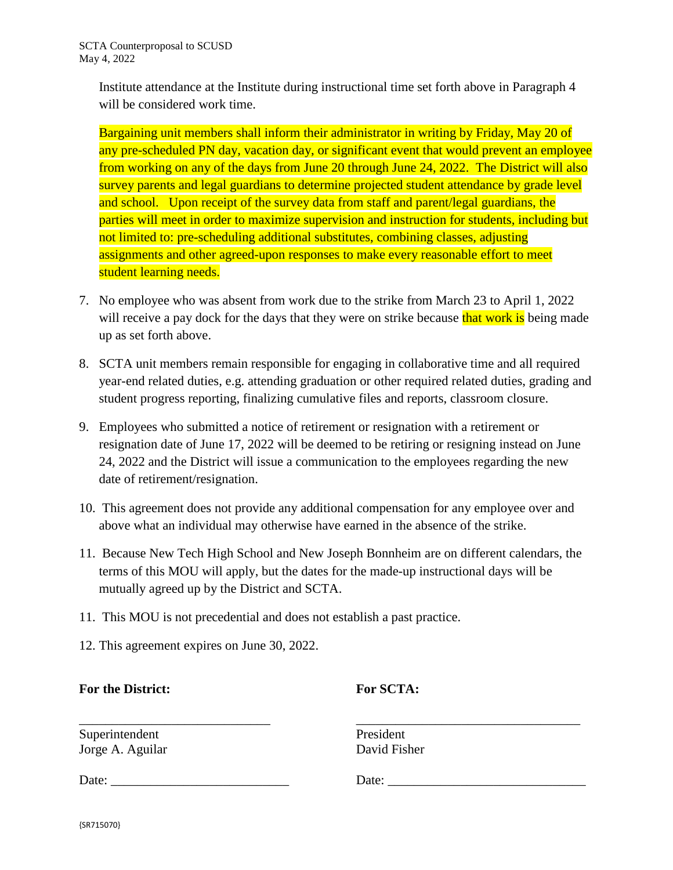Institute attendance at the Institute during instructional time set forth above in Paragraph 4 will be considered work time.

Bargaining unit members shall inform their administrator in writing by Friday, May 20 of any pre-scheduled PN day, vacation day, or significant event that would prevent an employee from working on any of the days from June 20 through June 24, 2022. The District will also survey parents and legal guardians to determine projected student attendance by grade level and school. Upon receipt of the survey data from staff and parent/legal guardians, the parties will meet in order to maximize supervision and instruction for students, including but not limited to: pre-scheduling additional substitutes, combining classes, adjusting assignments and other agreed-upon responses to make every reasonable effort to meet student learning needs.

- 7. No employee who was absent from work due to the strike from March 23 to April 1, 2022 will receive a pay dock for the days that they were on strike because that work is being made up as set forth above.
- 8. SCTA unit members remain responsible for engaging in collaborative time and all required year-end related duties, e.g. attending graduation or other required related duties, grading and student progress reporting, finalizing cumulative files and reports, classroom closure.
- 9. Employees who submitted a notice of retirement or resignation with a retirement or resignation date of June 17, 2022 will be deemed to be retiring or resigning instead on June 24, 2022 and the District will issue a communication to the employees regarding the new date of retirement/resignation.
- 10. This agreement does not provide any additional compensation for any employee over and above what an individual may otherwise have earned in the absence of the strike.
- 11. Because New Tech High School and New Joseph Bonnheim are on different calendars, the terms of this MOU will apply, but the dates for the made-up instructional days will be mutually agreed up by the District and SCTA.
- 11. This MOU is not precedential and does not establish a past practice.
- 12. This agreement expires on June 30, 2022.

## **For the District: For SCTA:**

Superintendent President Jorge A. Aguilar David Fisher

\_\_\_\_\_\_\_\_\_\_\_\_\_\_\_\_\_\_\_\_\_\_\_\_\_\_\_\_\_ \_\_\_\_\_\_\_\_\_\_\_\_\_\_\_\_\_\_\_\_\_\_\_\_\_\_\_\_\_\_\_\_\_\_

Date: \_\_\_\_\_\_\_\_\_\_\_\_\_\_\_\_\_\_\_\_\_\_\_\_\_\_\_ Date: \_\_\_\_\_\_\_\_\_\_\_\_\_\_\_\_\_\_\_\_\_\_\_\_\_\_\_\_\_\_